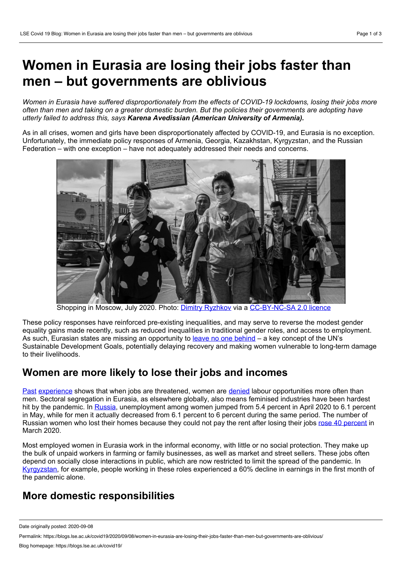# **Women in Eurasia are losing their jobs faster than men – but governments are oblivious**

*Women in Eurasia have suffered disproportionately from the effects of COVID-19 lockdowns, losing their jobs more* often than men and taking on a greater domestic burden. But the policies their governments are adopting have *utterly failed to address this, says Karena Avedissian (American University of Armenia).*

As in all crises, women and girls have been disproportionately affected by COVID-19, and Eurasia is no exception. Unfortunately, the immediate policy responses of Armenia, Georgia, Kazakhstan, Kyrgyzstan, and the Russian Federation – with one exception – have not adequately addressed their needs and concerns.



Shopping in Moscow, July 2020. Photo: Dimitry [Ryzhkov](https://www.flickr.com/photos/dmitryzhkov/50315846581/in/photolist-2jEeSde-2jEfMWs-2jEbrf1-2jEeS9B-2jEeS8p-2jEeS7c-2jEfMR2-2jEeS5i-2jEbr8Y-2jEfMN1-2jEbr6D-2jEeS1k-2jEfMKv-2jEeRY6-2jEbr1D-2jEeRVA-2jEeRUP-2jEbqWf-2jEfMD3-2jEfMBE-2jEbqTu-2jEeRQ5-2jEfMyJ-2jEbqQi-2jEeRLT-2jEeRL2-2jEeRJJ-2jEbqLv-2jEeRFC-2jEeRF2-2jEbqGH-2jEfMpR-2jEfMoJ-2jEbqDS-2jEbqCz-2jEeRzf-2jEbqzt-2jEbqyb-2jEfMgu-2jEeRw9-2jEeRv7-2jEbqtG-2jEfMbz-2jEbqs9-2jEfM9f-2jEbqqa-2jEfM83-2jEfM76-2jEbqnp-2jEfM4F) via a [CC-BY-NC-SA](https://creativecommons.org/licenses/by-nc-sa/2.0/) 2.0 licence

These policy responses have reinforced pre-existing inequalities, and may serve to reverse the modest gender equality gains made recently, such as reduced inequalities in traditional gender roles, and access to employment. As such, Eurasian states are missing an opportunity to leave no one [behind](https://unstats.un.org/sdgs/report/2016/leaving-no-one-behind) – a key concept of the UN's Sustainable Development Goals, potentially delaying recovery and making women vulnerable to long-term damage to their livelihoods.

#### **Women are more likely to lose their jobs and incomes**

[Past](https://footwearnews.com/2019/business/technology/women-losing-jobs-automation-1202762047/) [experience](https://nwlc.org/blog/climate-change-is-a-threat-to-womens-jobs/) shows that when jobs are threatened, women are [denied](https://www.cnbc.com/2020/05/14/coronavirus-job-losses-disproportionately-impact-women.html) labour opportunities more often than men. Sectoral segregation in Eurasia, as elsewhere globally, also means feminised industries have been hardest hit by the pandemic. In [Russia](https://www.rbc.ru/society/22/04/2020/5e9f0a669a79478af08dfa86?from=from_main), unemployment among women jumped from 5.4 percent in April 2020 to 6.1 percent in May, while for men it actually decreased from 6.1 percent to 6 percent during the same period. The number of Russian women who lost their homes because they could not pay the rent after losing their jobs rose 40 [percent](https://www.rbc.ru/society/22/04/2020/5e9f0a669a79478af08dfa86?from=from_main) in March 2020.

Most employed women in Eurasia work in the informal economy, with little or no social protection. They make up the bulk of unpaid workers in farming or family businesses, as well as market and street sellers. These jobs often depend on socially close interactions in public, which are now restricted to limit the spread of the pandemic. In [Kyrgyzstan](https://kyrgyzstan.un.org/en/49958-world-work-and-covid-19), for example, people working in these roles experienced a 60% decline in earnings in the first month of the pandemic alone.

#### **More domestic responsibilities**

Date originally posted: 2020-09-08

Permalink: https://blogs.lse.ac.uk/covid19/2020/09/08/women-in-eurasia-are-losing-their-jobs-faster-than-men-but-governments-are-oblivious/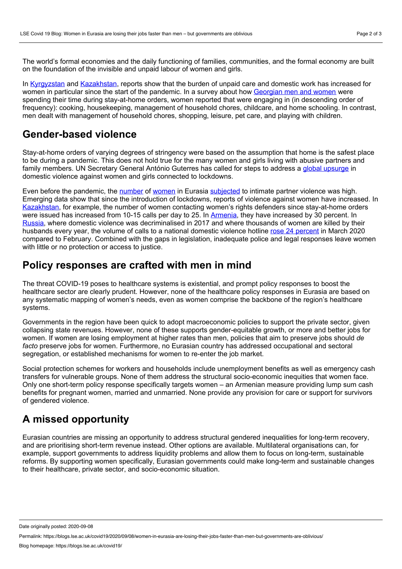The world's formal economies and the daily functioning of families, communities, and the formal economy are built on the foundation of the invisible and unpaid labour of women and girls.

In [Kyrgyzstan](https://eca.unwomen.org/pt/news/stories/2020/6/press-release-gender-assessment-in-kyrgyzstan-reveals-concerning-results) and [Kazakhstan](https://reliefweb.int/report/kazakhstan/united-nations-kazakhstan-covid-19-situation-report-6-26-june-2020), reports show that the burden of unpaid care and domestic work has increased for women in particular since the start of the pandemic. In a survey about how [Georgian](https://georgia.unwomen.org/en/news/stories/2020/06/covid-19-exacerbates-womens-vulnerabilities-and-gender-inequalities-in-georgia) men and women were spending their time during stay-at-home orders, women reported that were engaging in (in descending order of frequency): cooking, housekeeping, management of household chores, childcare, and home schooling. In contrast, men dealt with management of household chores, shopping, leisure, pet care, and playing with children.

### **Gender-based violence**

Stay-at-home orders of varying degrees of stringency were based on the assumption that home is the safest place to be during a pandemic. This does not hold true for the many women and girls living with abusive partners and family members. UN Secretary General António Guterres has called for steps to address a global [upsurge](https://news.un.org/en/story/2020/04/1061052) in domestic violence against women and girls connected to lockdowns.

Even before the pandemic, the [number](https://www.opendemocracy.net/en/heated-debates-around-domestic-violence-in-armenia/) of [women](https://evaw-global-database.unwomen.org/en) in Eurasia [subjected](https://www.hrw.org/ru/news/2019/10/17/334789) to intimate partner violence was high. Emerging data show that since the introduction of lockdowns, reports of violence against women have increased. In [Kazakhstan](https://thediplomat.com/2020/07/under-covid-19-domestic-violence-intensifies-in-kazakhstan/), for example, the number of women contacting women's rights defenders since stay-at-home orders were issued has increased from 10-15 calls per day to 25. In [Armenia](https://www.evnreport.com/raw-unfiltered/domestic-violence-and-the-pandemic-how-the-vulnerable-have-become-more-vulnerable), they have increased by 30 percent. In [Russia,](https://www.equalitynow.org/covid_19_russia_dv) where domestic violence was decriminalised in 2017 and where thousands of women are killed by their husbands every year, the volume of calls to a national domestic violence hotline rose 24 [percent](https://www.rbc.ru/society/22/04/2020/5e9f0a669a79478af08dfa86?from=from_main) in March 2020 compared to February. Combined with the gaps in legislation, inadequate police and legal responses leave women with little or no protection or access to justice.

#### **Policy responses are crafted with men in mind**

The threat COVID-19 poses to healthcare systems is existential, and prompt policy responses to boost the healthcare sector are clearly prudent. However, none of the healthcare policy responses in Eurasia are based on any systematic mapping of women's needs, even as women comprise the backbone of the region's healthcare systems.

Governments in the region have been quick to adopt macroeconomic policies to support the private sector, given collapsing state revenues. However, none of these supports gender-equitable growth, or more and better jobs for women. If women are losing employment at higher rates than men, policies that aim to preserve jobs should *de facto* preserve jobs for women. Furthermore, no Eurasian country has addressed occupational and sectoral segregation, or established mechanisms for women to re-enter the job market.

Social protection schemes for workers and households include unemployment benefits as well as emergency cash transfers for vulnerable groups. None of them address the structural socio-economic inequities that women face. Only one short-term policy response specifically targets women – an Armenian measure providing lump sum cash benefits for pregnant women, married and unmarried. None provide any provision for care or support for survivors of gendered violence.

## **A missed opportunity**

Eurasian countries are missing an opportunity to address structural gendered inequalities for long-term recovery, and are prioritising short-term revenue instead. Other options are available. Multilateral organisations can, for example, support governments to address liquidity problems and allow them to focus on long-term, sustainable reforms. By supporting women specifically, Eurasian governments could make long-term and sustainable changes to their healthcare, private sector, and socio-economic situation.

Date originally posted: 2020-09-08

Permalink: https://blogs.lse.ac.uk/covid19/2020/09/08/women-in-eurasia-are-losing-their-jobs-faster-than-men-but-governments-are-oblivious/